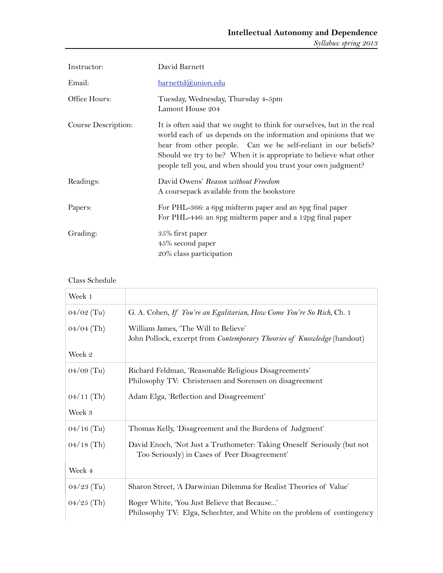| Instructor:         | David Barnett                                                                                                                                                                                                                                                                                                                                      |
|---------------------|----------------------------------------------------------------------------------------------------------------------------------------------------------------------------------------------------------------------------------------------------------------------------------------------------------------------------------------------------|
| Email:              | <u>barnettd@union.edu</u>                                                                                                                                                                                                                                                                                                                          |
| Office Hours:       | Tuesday, Wednesday, Thursday 4-5pm<br>Lamont House 204                                                                                                                                                                                                                                                                                             |
| Course Description: | It is often said that we ought to think for ourselves, but in the real<br>world each of us depends on the information and opinions that we<br>hear from other people. Can we be self-reliant in our beliefs?<br>Should we try to be? When it is appropriate to believe what other<br>people tell you, and when should you trust your own judgment? |
| Readings:           | David Owens' Reason without Freedom<br>A coursepack available from the bookstore                                                                                                                                                                                                                                                                   |
| Papers:             | For PHL-366: a 6pg midterm paper and an 8pg final paper<br>For PHL-446: an 8pg midterm paper and a 12pg final paper                                                                                                                                                                                                                                |
| Grading:            | 35% first paper<br>45% second paper<br>20% class participation                                                                                                                                                                                                                                                                                     |

## Class Schedule

| Week 1       |                                                                                                                          |
|--------------|--------------------------------------------------------------------------------------------------------------------------|
| $04/02$ (Tu) | G. A. Cohen, If You're an Egalitarian, How Come You're So Rich, Ch. 1                                                    |
| $04/04$ (Th) | William James, 'The Will to Believe'<br>John Pollock, excerpt from Contemporary Theories of Knowledge (handout)          |
| Week 2       |                                                                                                                          |
| $04/09$ (Tu) | Richard Feldman, 'Reasonable Religious Disagreements'<br>Philosophy TV: Christensen and Sorensen on disagreement         |
| $04/11$ (Th) | Adam Elga, 'Reflection and Disagreement'                                                                                 |
| Week 3       |                                                                                                                          |
| $04/16$ (Tu) | Thomas Kelly, 'Disagreement and the Burdens of Judgment'                                                                 |
| $04/18$ (Th) | David Enoch, 'Not Just a Truthometer: Taking Oneself Seriously (but not<br>Too Seriously) in Cases of Peer Disagreement' |
| Week 4       |                                                                                                                          |
| $04/23$ (Tu) | Sharon Street, 'A Darwinian Dilemma for Realist Theories of Value'                                                       |
| $04/25$ (Th) | Roger White, 'You Just Believe that Because'<br>Philosophy TV: Elga, Schechter, and White on the problem of contingency  |